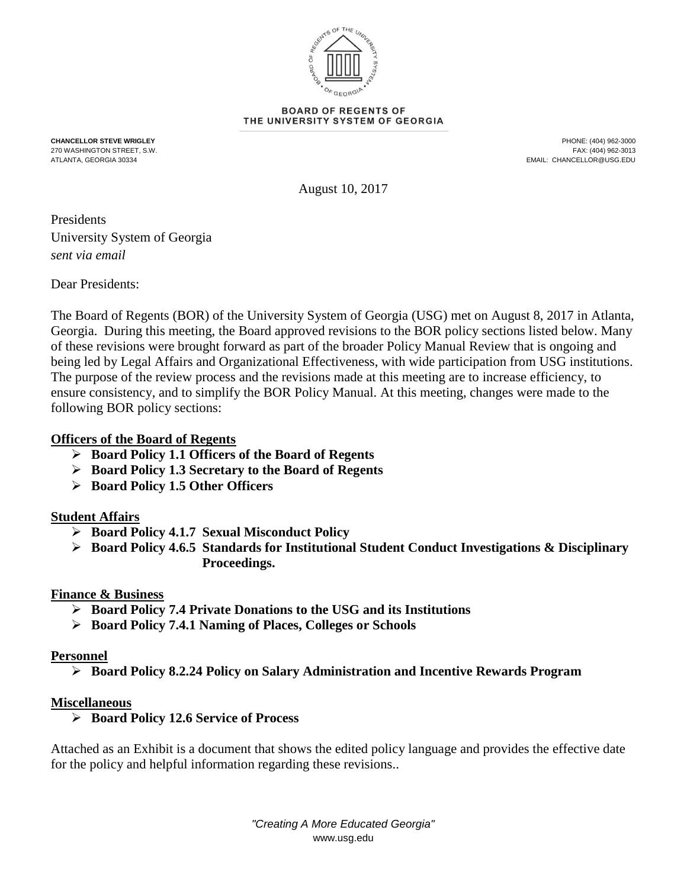

#### **BOARD OF REGENTS OF** THE UNIVERSITY SYSTEM OF GEORGIA

**CHANCELLOR STEVE WRIGLEY** PHONE: (404) 962-3000 270 WASHINGTON STREET, S.W. FAX: (404) 962-3013 EMAIL: CHANCELLOR@USG.EDU

August 10, 2017

Presidents University System of Georgia *sent via email*

Dear Presidents:

The Board of Regents (BOR) of the University System of Georgia (USG) met on August 8, 2017 in Atlanta, Georgia. During this meeting, the Board approved revisions to the BOR policy sections listed below. Many of these revisions were brought forward as part of the broader Policy Manual Review that is ongoing and being led by Legal Affairs and Organizational Effectiveness, with wide participation from USG institutions. The purpose of the review process and the revisions made at this meeting are to increase efficiency, to ensure consistency, and to simplify the BOR Policy Manual. At this meeting, changes were made to the following BOR policy sections:

# **Officers of the Board of Regents**

- **Board Policy 1.1 Officers of the Board of Regents**
- **Board Policy 1.3 Secretary to the Board of Regents**
- **Board Policy 1.5 Other Officers**

# **Student Affairs**

- **Board Policy 4.1.7 Sexual Misconduct Policy**
- **Board Policy 4.6.5 Standards for Institutional Student Conduct Investigations & Disciplinary Proceedings.**

# **Finance & Business**

- **Board Policy 7.4 Private Donations to the USG and its Institutions**
- **Board Policy 7.4.1 Naming of Places, Colleges or Schools**

# **Personnel**

**Board Policy 8.2.24 Policy on Salary Administration and Incentive Rewards Program**

# **Miscellaneous**

**Board Policy 12.6 Service of Process**

Attached as an Exhibit is a document that shows the edited policy language and provides the effective date for the policy and helpful information regarding these revisions..

> *"Creating A More Educated Georgia"* www.usg.edu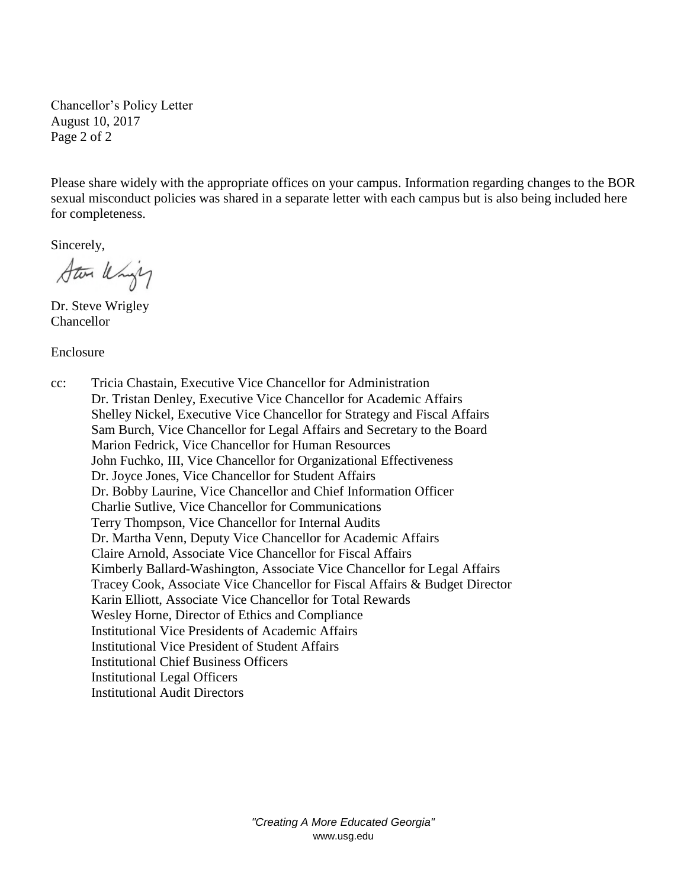Chancellor's Policy Letter August 10, 2017 Page 2 of 2

Please share widely with the appropriate offices on your campus. Information regarding changes to the BOR sexual misconduct policies was shared in a separate letter with each campus but is also being included here for completeness.

Sincerely,

Star Whigh

Dr. Steve Wrigley Chancellor

Enclosure

cc: Tricia Chastain, Executive Vice Chancellor for Administration Dr. Tristan Denley, Executive Vice Chancellor for Academic Affairs Shelley Nickel, Executive Vice Chancellor for Strategy and Fiscal Affairs Sam Burch, Vice Chancellor for Legal Affairs and Secretary to the Board Marion Fedrick, Vice Chancellor for Human Resources John Fuchko, III, Vice Chancellor for Organizational Effectiveness Dr. Joyce Jones, Vice Chancellor for Student Affairs Dr. Bobby Laurine, Vice Chancellor and Chief Information Officer Charlie Sutlive, Vice Chancellor for Communications Terry Thompson, Vice Chancellor for Internal Audits Dr. Martha Venn, Deputy Vice Chancellor for Academic Affairs Claire Arnold, Associate Vice Chancellor for Fiscal Affairs Kimberly Ballard-Washington, Associate Vice Chancellor for Legal Affairs Tracey Cook, Associate Vice Chancellor for Fiscal Affairs & Budget Director Karin Elliott, Associate Vice Chancellor for Total Rewards Wesley Horne, Director of Ethics and Compliance Institutional Vice Presidents of Academic Affairs Institutional Vice President of Student Affairs Institutional Chief Business Officers Institutional Legal Officers Institutional Audit Directors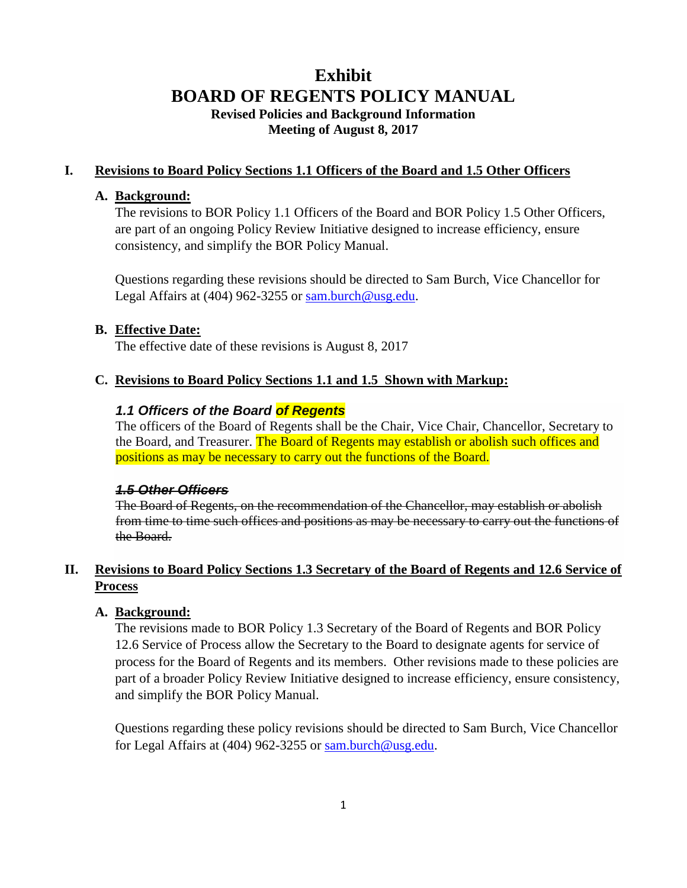# **Exhibit BOARD OF REGENTS POLICY MANUAL Revised Policies and Background Information Meeting of August 8, 2017**

# **I. Revisions to Board Policy Sections 1.1 Officers of the Board and 1.5 Other Officers**

#### **A. Background:**

The revisions to BOR Policy 1.1 Officers of the Board and BOR Policy 1.5 Other Officers, are part of an ongoing Policy Review Initiative designed to increase efficiency, ensure consistency, and simplify the BOR Policy Manual.

Questions regarding these revisions should be directed to Sam Burch, Vice Chancellor for Legal Affairs at (404) 962-3255 or sam.burch@usg.edu.

#### **B. Effective Date:**

The effective date of these revisions is August 8, 2017

#### **C. Revisions to Board Policy Sections 1.1 and 1.5 Shown with Markup:**

# *1.1 Officers of the Board of Regents*

The officers of the Board of Regents shall be the Chair, Vice Chair, Chancellor, Secretary to the Board, and Treasurer. The Board of Regents may establish or abolish such offices and positions as may be necessary to carry out the functions of the Board.

### *1.5 Other Officers*

The Board of Regents, on the recommendation of the Chancellor, may establish or abolish from time to time such offices and positions as may be necessary to carry out the functions of the Board.

# **II. Revisions to Board Policy Sections 1.3 Secretary of the Board of Regents and 12.6 Service of Process**

#### **A. Background:**

The revisions made to BOR Policy 1.3 Secretary of the Board of Regents and BOR Policy 12.6 Service of Process allow the Secretary to the Board to designate agents for service of process for the Board of Regents and its members. Other revisions made to these policies are part of a broader Policy Review Initiative designed to increase efficiency, ensure consistency, and simplify the BOR Policy Manual.

Questions regarding these policy revisions should be directed to Sam Burch, Vice Chancellor for Legal Affairs at (404) 962-3255 or sam.burch@usg.edu.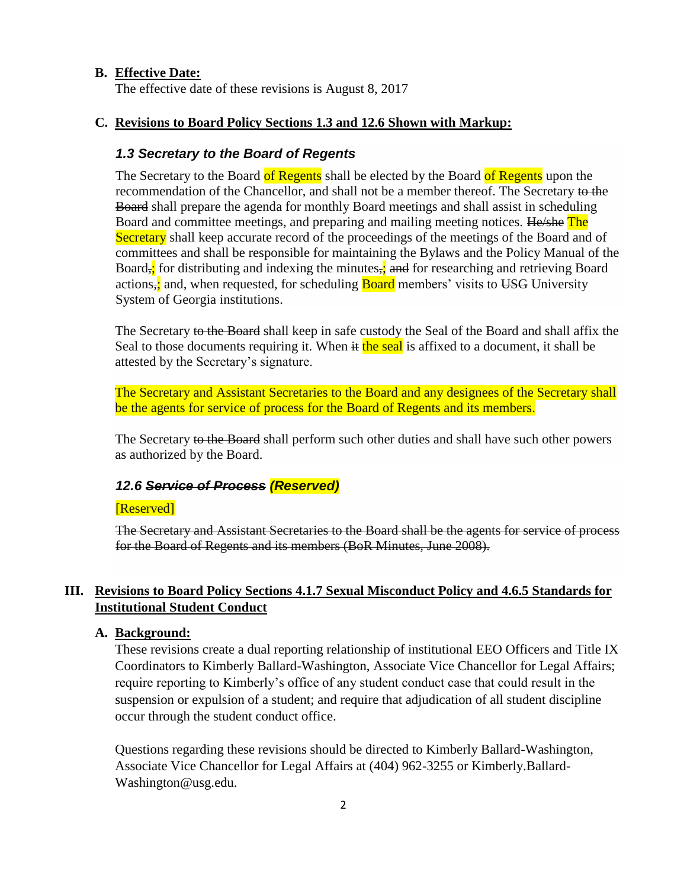### **B. Effective Date:**

The effective date of these revisions is August 8, 2017

#### **C. Revisions to Board Policy Sections 1.3 and 12.6 Shown with Markup:**

#### *1.3 Secretary to the Board of Regents*

The Secretary to the Board of Regents shall be elected by the Board of Regents upon the recommendation of the Chancellor, and shall not be a member thereof. The Secretary to the Board shall prepare the agenda for monthly Board meetings and shall assist in scheduling Board and committee meetings, and preparing and mailing meeting notices. He/she The Secretary shall keep accurate record of the proceedings of the meetings of the Board and of committees and shall be responsible for maintaining the Bylaws and the Policy Manual of the Board, for distributing and indexing the minutes, and for researching and retrieving Board actions, and, when requested, for scheduling **Board** members' visits to USG University System of Georgia institutions.

The Secretary to the Board shall keep in safe custody the Seal of the Board and shall affix the Seal to those documents requiring it. When  $\frac{d}{dt}$  the seal is affixed to a document, it shall be attested by the Secretary's signature.

The Secretary and Assistant Secretaries to the Board and any designees of the Secretary shall be the agents for service of process for the Board of Regents and its members.

The Secretary to the Board shall perform such other duties and shall have such other powers as authorized by the Board.

#### *12.6 Service of Process (Reserved)*

#### [Reserved]

The Secretary and Assistant Secretaries to the Board shall be the agents for service of process for the Board of Regents and its members (BoR Minutes, June 2008).

# **III. Revisions to Board Policy Sections 4.1.7 Sexual Misconduct Policy and 4.6.5 Standards for Institutional Student Conduct**

#### **A. Background:**

These revisions create a dual reporting relationship of institutional EEO Officers and Title IX Coordinators to Kimberly Ballard-Washington, Associate Vice Chancellor for Legal Affairs; require reporting to Kimberly's office of any student conduct case that could result in the suspension or expulsion of a student; and require that adjudication of all student discipline occur through the student conduct office.

Questions regarding these revisions should be directed to Kimberly Ballard-Washington, Associate Vice Chancellor for Legal Affairs at (404) 962-3255 or Kimberly.Ballard-Washington@usg.edu.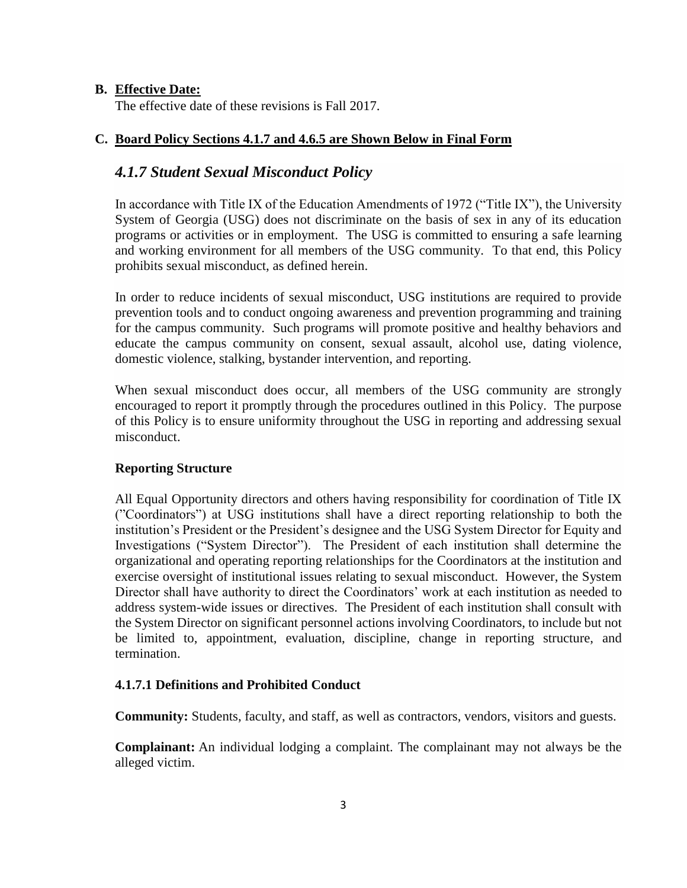# **B. Effective Date:**

The effective date of these revisions is Fall 2017.

# **C. Board Policy Sections 4.1.7 and 4.6.5 are Shown Below in Final Form**

# *4.1.7 Student Sexual Misconduct Policy*

In accordance with Title IX of the Education Amendments of 1972 ("Title IX"), the University System of Georgia (USG) does not discriminate on the basis of sex in any of its education programs or activities or in employment. The USG is committed to ensuring a safe learning and working environment for all members of the USG community. To that end, this Policy prohibits sexual misconduct, as defined herein.

In order to reduce incidents of sexual misconduct, USG institutions are required to provide prevention tools and to conduct ongoing awareness and prevention programming and training for the campus community. Such programs will promote positive and healthy behaviors and educate the campus community on consent, sexual assault, alcohol use, dating violence, domestic violence, stalking, bystander intervention, and reporting.

When sexual misconduct does occur, all members of the USG community are strongly encouraged to report it promptly through the procedures outlined in this Policy. The purpose of this Policy is to ensure uniformity throughout the USG in reporting and addressing sexual misconduct.

# **Reporting Structure**

All Equal Opportunity directors and others having responsibility for coordination of Title IX ("Coordinators") at USG institutions shall have a direct reporting relationship to both the institution's President or the President's designee and the USG System Director for Equity and Investigations ("System Director"). The President of each institution shall determine the organizational and operating reporting relationships for the Coordinators at the institution and exercise oversight of institutional issues relating to sexual misconduct. However, the System Director shall have authority to direct the Coordinators' work at each institution as needed to address system-wide issues or directives. The President of each institution shall consult with the System Director on significant personnel actions involving Coordinators, to include but not be limited to, appointment, evaluation, discipline, change in reporting structure, and termination.

### **4.1.7.1 Definitions and Prohibited Conduct**

**Community:** Students, faculty, and staff, as well as contractors, vendors, visitors and guests.

**Complainant:** An individual lodging a complaint. The complainant may not always be the alleged victim.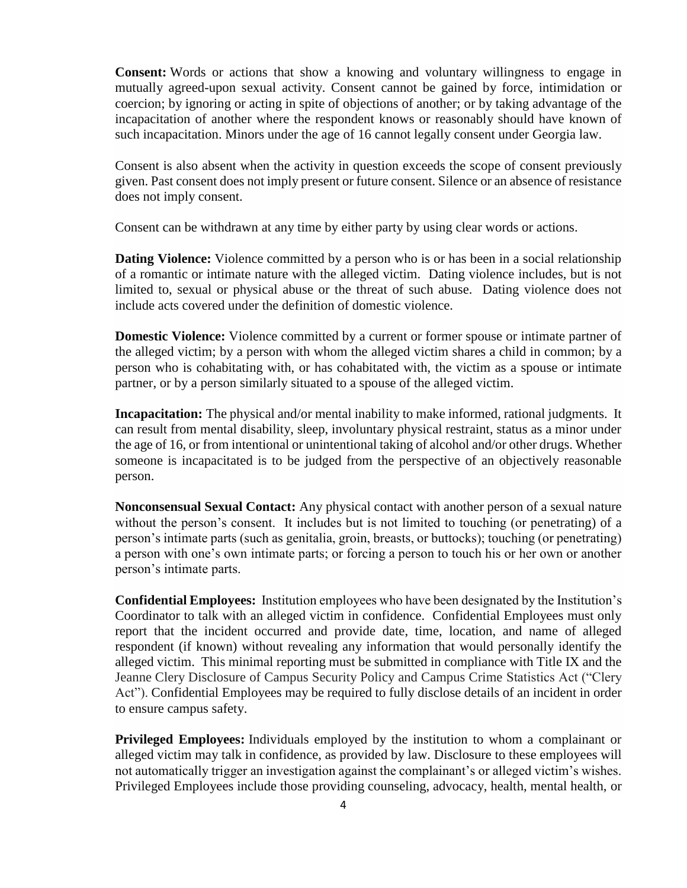**Consent:** Words or actions that show a knowing and voluntary willingness to engage in mutually agreed-upon sexual activity. Consent cannot be gained by force, intimidation or coercion; by ignoring or acting in spite of objections of another; or by taking advantage of the incapacitation of another where the respondent knows or reasonably should have known of such incapacitation. Minors under the age of 16 cannot legally consent under Georgia law.

Consent is also absent when the activity in question exceeds the scope of consent previously given. Past consent does not imply present or future consent. Silence or an absence of resistance does not imply consent.

Consent can be withdrawn at any time by either party by using clear words or actions.

**Dating Violence:** Violence committed by a person who is or has been in a social relationship of a romantic or intimate nature with the alleged victim. Dating violence includes, but is not limited to, sexual or physical abuse or the threat of such abuse. Dating violence does not include acts covered under the definition of domestic violence.

**Domestic Violence:** Violence committed by a current or former spouse or intimate partner of the alleged victim; by a person with whom the alleged victim shares a child in common; by a person who is cohabitating with, or has cohabitated with, the victim as a spouse or intimate partner, or by a person similarly situated to a spouse of the alleged victim.

**Incapacitation:** The physical and/or mental inability to make informed, rational judgments. It can result from mental disability, sleep, involuntary physical restraint, status as a minor under the age of 16, or from intentional or unintentional taking of alcohol and/or other drugs. Whether someone is incapacitated is to be judged from the perspective of an objectively reasonable person.

**Nonconsensual Sexual Contact:** Any physical contact with another person of a sexual nature without the person's consent. It includes but is not limited to touching (or penetrating) of a person's intimate parts (such as genitalia, groin, breasts, or buttocks); touching (or penetrating) a person with one's own intimate parts; or forcing a person to touch his or her own or another person's intimate parts.

**Confidential Employees:** Institution employees who have been designated by the Institution's Coordinator to talk with an alleged victim in confidence. Confidential Employees must only report that the incident occurred and provide date, time, location, and name of alleged respondent (if known) without revealing any information that would personally identify the alleged victim. This minimal reporting must be submitted in compliance with Title IX and the Jeanne Clery Disclosure of Campus Security Policy and Campus Crime Statistics Act ("Clery Act"). Confidential Employees may be required to fully disclose details of an incident in order to ensure campus safety.

**Privileged Employees:** Individuals employed by the institution to whom a complainant or alleged victim may talk in confidence, as provided by law. Disclosure to these employees will not automatically trigger an investigation against the complainant's or alleged victim's wishes. Privileged Employees include those providing counseling, advocacy, health, mental health, or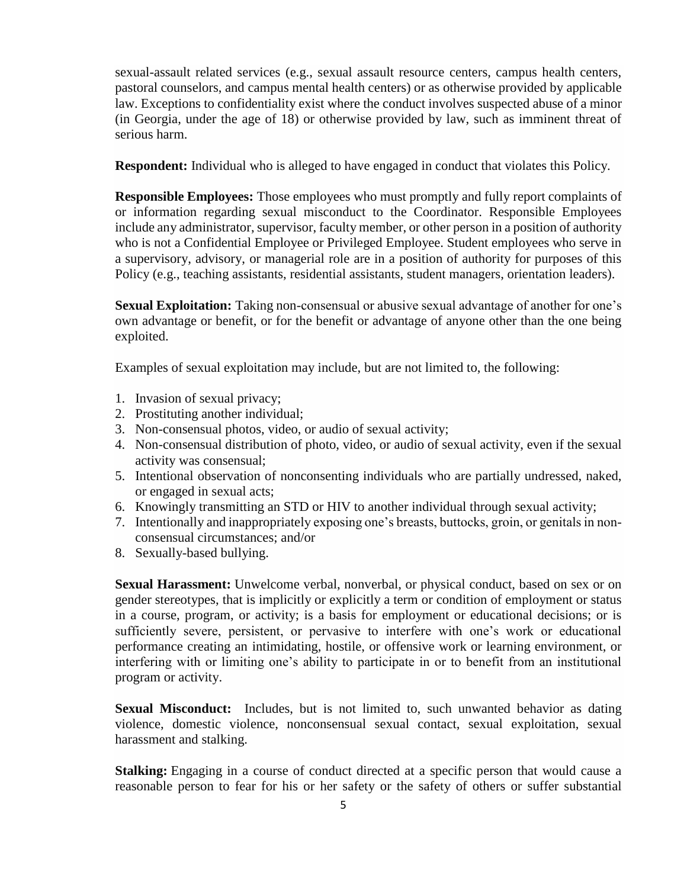sexual-assault related services (e.g., sexual assault resource centers, campus health centers, pastoral counselors, and campus mental health centers) or as otherwise provided by applicable law. Exceptions to confidentiality exist where the conduct involves suspected abuse of a minor (in Georgia, under the age of 18) or otherwise provided by law, such as imminent threat of serious harm.

**Respondent:** Individual who is alleged to have engaged in conduct that violates this Policy.

**Responsible Employees:** Those employees who must promptly and fully report complaints of or information regarding sexual misconduct to the Coordinator. Responsible Employees include any administrator, supervisor, faculty member, or other person in a position of authority who is not a Confidential Employee or Privileged Employee. Student employees who serve in a supervisory, advisory, or managerial role are in a position of authority for purposes of this Policy (e.g., teaching assistants, residential assistants, student managers, orientation leaders).

**Sexual Exploitation:** Taking non-consensual or abusive sexual advantage of another for one's own advantage or benefit, or for the benefit or advantage of anyone other than the one being exploited.

Examples of sexual exploitation may include, but are not limited to, the following:

- 1. Invasion of sexual privacy;
- 2. Prostituting another individual;
- 3. Non-consensual photos, video, or audio of sexual activity;
- 4. Non-consensual distribution of photo, video, or audio of sexual activity, even if the sexual activity was consensual;
- 5. Intentional observation of nonconsenting individuals who are partially undressed, naked, or engaged in sexual acts;
- 6. Knowingly transmitting an STD or HIV to another individual through sexual activity;
- 7. Intentionally and inappropriately exposing one's breasts, buttocks, groin, or genitals in nonconsensual circumstances; and/or
- 8. Sexually-based bullying.

**Sexual Harassment:** Unwelcome verbal, nonverbal, or physical conduct, based on sex or on gender stereotypes, that is implicitly or explicitly a term or condition of employment or status in a course, program, or activity; is a basis for employment or educational decisions; or is sufficiently severe, persistent, or pervasive to interfere with one's work or educational performance creating an intimidating, hostile, or offensive work or learning environment, or interfering with or limiting one's ability to participate in or to benefit from an institutional program or activity.

**Sexual Misconduct:** Includes, but is not limited to, such unwanted behavior as dating violence, domestic violence, nonconsensual sexual contact, sexual exploitation, sexual harassment and stalking.

**Stalking:** Engaging in a course of conduct directed at a specific person that would cause a reasonable person to fear for his or her safety or the safety of others or suffer substantial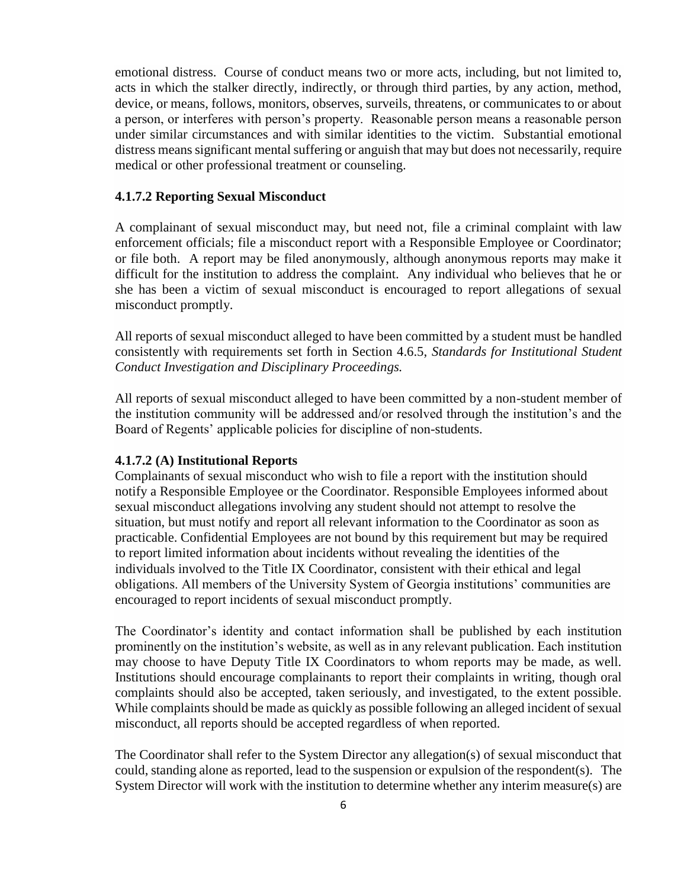emotional distress. Course of conduct means two or more acts, including, but not limited to, acts in which the stalker directly, indirectly, or through third parties, by any action, method, device, or means, follows, monitors, observes, surveils, threatens, or communicates to or about a person, or interferes with person's property. Reasonable person means a reasonable person under similar circumstances and with similar identities to the victim. Substantial emotional distress means significant mental suffering or anguish that may but does not necessarily, require medical or other professional treatment or counseling.

#### **4.1.7.2 Reporting Sexual Misconduct**

A complainant of sexual misconduct may, but need not, file a criminal complaint with law enforcement officials; file a misconduct report with a Responsible Employee or Coordinator; or file both. A report may be filed anonymously, although anonymous reports may make it difficult for the institution to address the complaint. Any individual who believes that he or she has been a victim of sexual misconduct is encouraged to report allegations of sexual misconduct promptly.

All reports of sexual misconduct alleged to have been committed by a student must be handled consistently with requirements set forth in Section 4.6.5, *Standards for Institutional Student Conduct Investigation and Disciplinary Proceedings.*

All reports of sexual misconduct alleged to have been committed by a non-student member of the institution community will be addressed and/or resolved through the institution's and the Board of Regents' applicable policies for discipline of non-students.

#### **4.1.7.2 (A) Institutional Reports**

Complainants of sexual misconduct who wish to file a report with the institution should notify a Responsible Employee or the Coordinator. Responsible Employees informed about sexual misconduct allegations involving any student should not attempt to resolve the situation, but must notify and report all relevant information to the Coordinator as soon as practicable. Confidential Employees are not bound by this requirement but may be required to report limited information about incidents without revealing the identities of the individuals involved to the Title IX Coordinator, consistent with their ethical and legal obligations. All members of the University System of Georgia institutions' communities are encouraged to report incidents of sexual misconduct promptly.

The Coordinator's identity and contact information shall be published by each institution prominently on the institution's website, as well as in any relevant publication. Each institution may choose to have Deputy Title IX Coordinators to whom reports may be made, as well. Institutions should encourage complainants to report their complaints in writing, though oral complaints should also be accepted, taken seriously, and investigated, to the extent possible. While complaints should be made as quickly as possible following an alleged incident of sexual misconduct, all reports should be accepted regardless of when reported.

The Coordinator shall refer to the System Director any allegation(s) of sexual misconduct that could, standing alone as reported, lead to the suspension or expulsion of the respondent(s). The System Director will work with the institution to determine whether any interim measure(s) are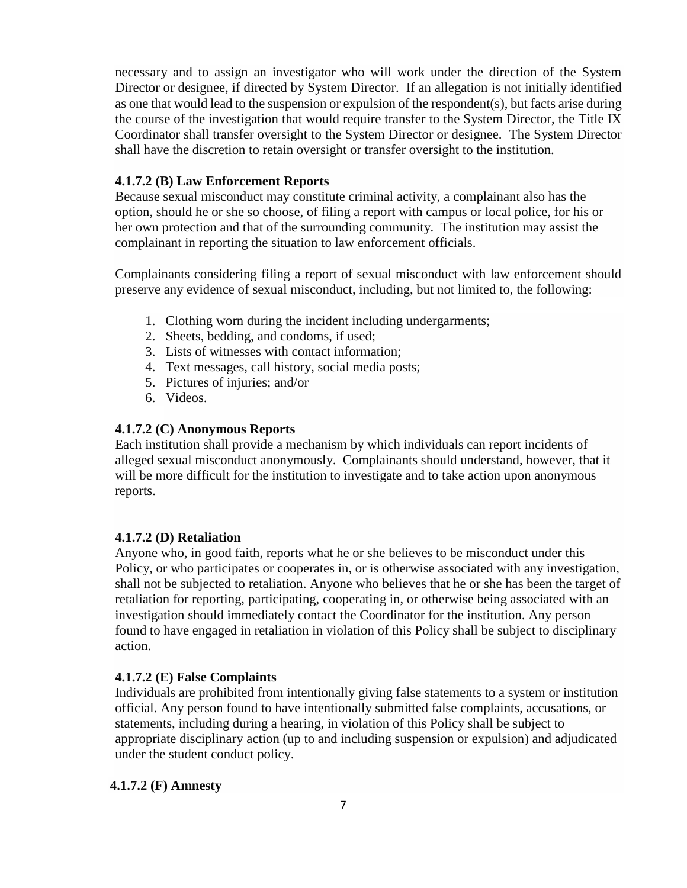necessary and to assign an investigator who will work under the direction of the System Director or designee, if directed by System Director. If an allegation is not initially identified as one that would lead to the suspension or expulsion of the respondent(s), but facts arise during the course of the investigation that would require transfer to the System Director, the Title IX Coordinator shall transfer oversight to the System Director or designee. The System Director shall have the discretion to retain oversight or transfer oversight to the institution.

### **4.1.7.2 (B) Law Enforcement Reports**

Because sexual misconduct may constitute criminal activity, a complainant also has the option, should he or she so choose, of filing a report with campus or local police, for his or her own protection and that of the surrounding community. The institution may assist the complainant in reporting the situation to law enforcement officials.

Complainants considering filing a report of sexual misconduct with law enforcement should preserve any evidence of sexual misconduct, including, but not limited to, the following:

- 1. Clothing worn during the incident including undergarments;
- 2. Sheets, bedding, and condoms, if used;
- 3. Lists of witnesses with contact information;
- 4. Text messages, call history, social media posts;
- 5. Pictures of injuries; and/or
- 6. Videos.

#### **4.1.7.2 (C) Anonymous Reports**

Each institution shall provide a mechanism by which individuals can report incidents of alleged sexual misconduct anonymously. Complainants should understand, however, that it will be more difficult for the institution to investigate and to take action upon anonymous reports.

#### **4.1.7.2 (D) Retaliation**

Anyone who, in good faith, reports what he or she believes to be misconduct under this Policy, or who participates or cooperates in, or is otherwise associated with any investigation, shall not be subjected to retaliation. Anyone who believes that he or she has been the target of retaliation for reporting, participating, cooperating in, or otherwise being associated with an investigation should immediately contact the Coordinator for the institution. Any person found to have engaged in retaliation in violation of this Policy shall be subject to disciplinary action.

#### **4.1.7.2 (E) False Complaints**

Individuals are prohibited from intentionally giving false statements to a system or institution official. Any person found to have intentionally submitted false complaints, accusations, or statements, including during a hearing, in violation of this Policy shall be subject to appropriate disciplinary action (up to and including suspension or expulsion) and adjudicated under the student conduct policy.

#### **4.1.7.2 (F) Amnesty**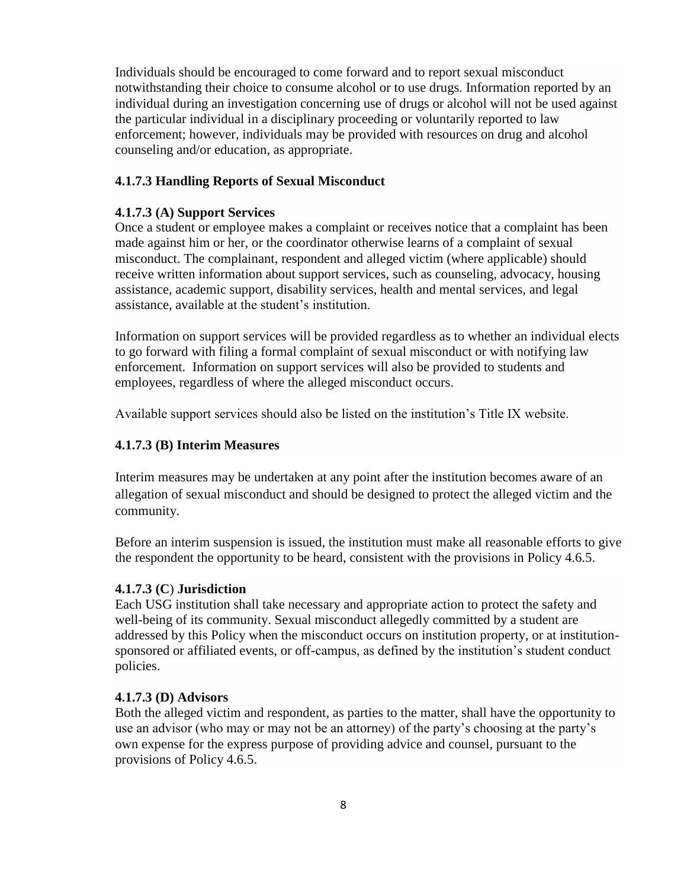Individuals should be encouraged to come forward and to report sexual misconduct notwithstanding their choice to consume alcohol or to use drugs. Information reported by an individual during an investigation concerning use of drugs or alcohol will not be used against the particular individual in a disciplinary proceeding or voluntarily reported to law enforcement; however, individuals may be provided with resources on drug and alcohol counseling and/or education, as appropriate.

### **4.1.7.3 Handling Reports of Sexual Misconduct**

#### **4.1.7.3 (A) Support Services**

Once a student or employee makes a complaint or receives notice that a complaint has been made against him or her, or the coordinator otherwise learns of a complaint of sexual misconduct. The complainant, respondent and alleged victim (where applicable) should receive written information about support services, such as counseling, advocacy, housing assistance, academic support, disability services, health and mental services, and legal assistance, available at the student's institution.

Information on support services will be provided regardless as to whether an individual elects to go forward with filing a formal complaint of sexual misconduct or with notifying law enforcement. Information on support services will also be provided to students and employees, regardless of where the alleged misconduct occurs.

Available support services should also be listed on the institution's Title IX website.

#### **4.1.7.3 (B) Interim Measures**

Interim measures may be undertaken at any point after the institution becomes aware of an allegation of sexual misconduct and should be designed to protect the alleged victim and the community.

Before an interim suspension is issued, the institution must make all reasonable efforts to give the respondent the opportunity to be heard, consistent with the provisions in Policy 4.6.5.

#### **4.1.7.3 (C**) **Jurisdiction**

Each USG institution shall take necessary and appropriate action to protect the safety and well-being of its community. Sexual misconduct allegedly committed by a student are addressed by this Policy when the misconduct occurs on institution property, or at institutionsponsored or affiliated events, or off-campus, as defined by the institution's student conduct policies.

# **4.1.7.3 (D) Advisors**

Both the alleged victim and respondent, as parties to the matter, shall have the opportunity to use an advisor (who may or may not be an attorney) of the party's choosing at the party's own expense for the express purpose of providing advice and counsel, pursuant to the provisions of Policy 4.6.5.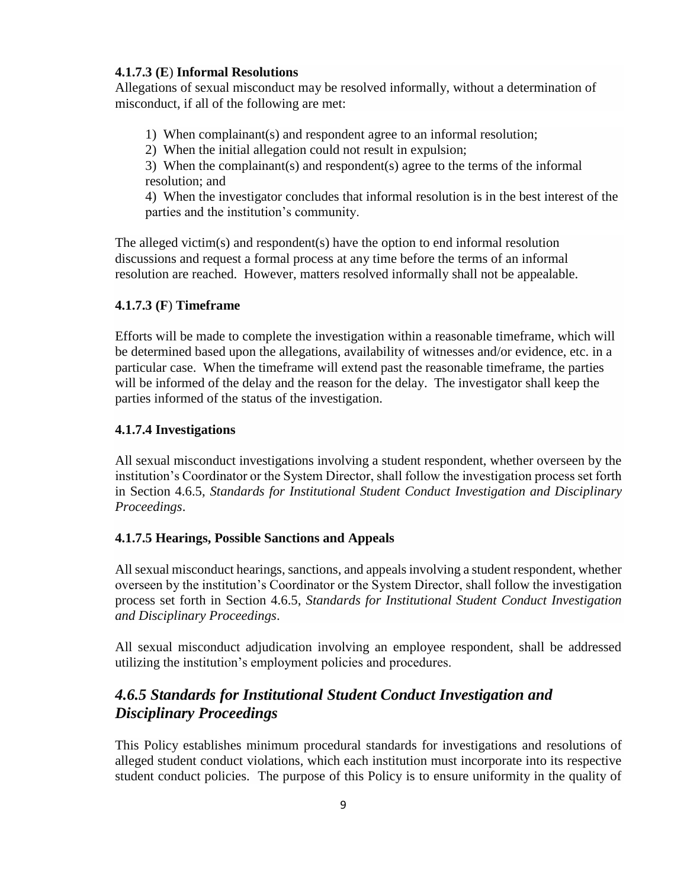# **4.1.7.3 (E**) **Informal Resolutions**

Allegations of sexual misconduct may be resolved informally, without a determination of misconduct, if all of the following are met:

1) When complainant(s) and respondent agree to an informal resolution;

2) When the initial allegation could not result in expulsion;

3) When the complainant(s) and respondent(s) agree to the terms of the informal resolution; and

4) When the investigator concludes that informal resolution is in the best interest of the parties and the institution's community.

The alleged victim(s) and respondent(s) have the option to end informal resolution discussions and request a formal process at any time before the terms of an informal resolution are reached. However, matters resolved informally shall not be appealable.

# **4.1.7.3 (F**) **Timeframe**

Efforts will be made to complete the investigation within a reasonable timeframe, which will be determined based upon the allegations, availability of witnesses and/or evidence, etc. in a particular case. When the timeframe will extend past the reasonable timeframe, the parties will be informed of the delay and the reason for the delay. The investigator shall keep the parties informed of the status of the investigation.

# **4.1.7.4 Investigations**

All sexual misconduct investigations involving a student respondent, whether overseen by the institution's Coordinator or the System Director, shall follow the investigation process set forth in Section 4.6.5, *Standards for Institutional Student Conduct Investigation and Disciplinary Proceedings*.

# **4.1.7.5 Hearings, Possible Sanctions and Appeals**

All sexual misconduct hearings, sanctions, and appeals involving a student respondent, whether overseen by the institution's Coordinator or the System Director, shall follow the investigation process set forth in Section 4.6.5, *Standards for Institutional Student Conduct Investigation and Disciplinary Proceedings*.

All sexual misconduct adjudication involving an employee respondent, shall be addressed utilizing the institution's employment policies and procedures.

# *4.6.5 Standards for Institutional Student Conduct Investigation and Disciplinary Proceedings*

This Policy establishes minimum procedural standards for investigations and resolutions of alleged student conduct violations, which each institution must incorporate into its respective student conduct policies. The purpose of this Policy is to ensure uniformity in the quality of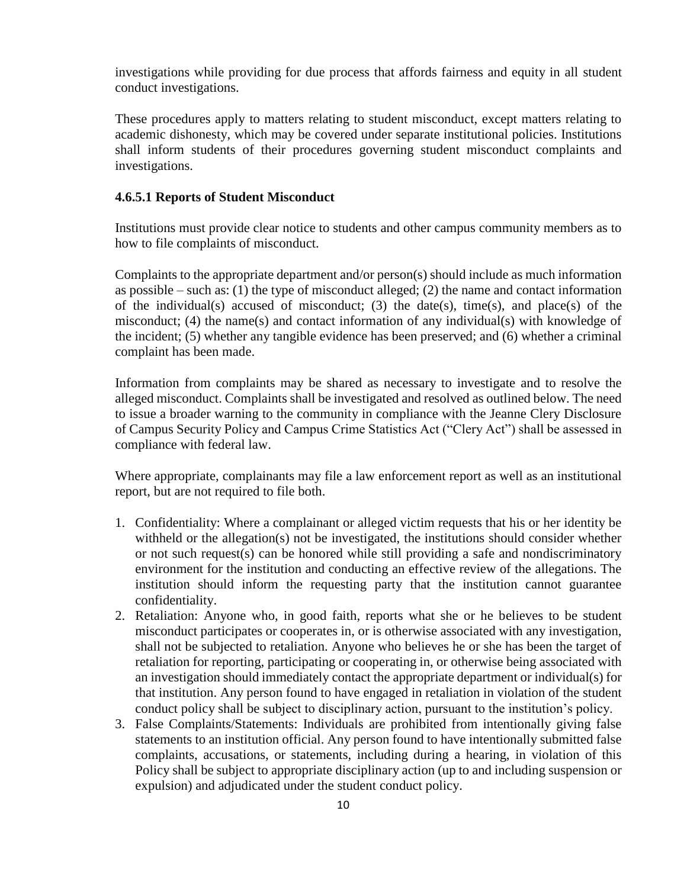investigations while providing for due process that affords fairness and equity in all student conduct investigations.

These procedures apply to matters relating to student misconduct, except matters relating to academic dishonesty, which may be covered under separate institutional policies. Institutions shall inform students of their procedures governing student misconduct complaints and investigations.

#### **4.6.5.1 Reports of Student Misconduct**

Institutions must provide clear notice to students and other campus community members as to how to file complaints of misconduct.

Complaints to the appropriate department and/or person(s) should include as much information as possible – such as: (1) the type of misconduct alleged; (2) the name and contact information of the individual(s) accused of misconduct; (3) the date(s), time(s), and place(s) of the misconduct; (4) the name(s) and contact information of any individual(s) with knowledge of the incident; (5) whether any tangible evidence has been preserved; and (6) whether a criminal complaint has been made.

Information from complaints may be shared as necessary to investigate and to resolve the alleged misconduct. Complaints shall be investigated and resolved as outlined below. The need to issue a broader warning to the community in compliance with the Jeanne Clery Disclosure of Campus Security Policy and Campus Crime Statistics Act ("Clery Act") shall be assessed in compliance with federal law.

Where appropriate, complainants may file a law enforcement report as well as an institutional report, but are not required to file both.

- 1. Confidentiality: Where a complainant or alleged victim requests that his or her identity be withheld or the allegation(s) not be investigated, the institutions should consider whether or not such request(s) can be honored while still providing a safe and nondiscriminatory environment for the institution and conducting an effective review of the allegations. The institution should inform the requesting party that the institution cannot guarantee confidentiality.
- 2. Retaliation: Anyone who, in good faith, reports what she or he believes to be student misconduct participates or cooperates in, or is otherwise associated with any investigation, shall not be subjected to retaliation. Anyone who believes he or she has been the target of retaliation for reporting, participating or cooperating in, or otherwise being associated with an investigation should immediately contact the appropriate department or individual(s) for that institution. Any person found to have engaged in retaliation in violation of the student conduct policy shall be subject to disciplinary action, pursuant to the institution's policy.
- 3. False Complaints/Statements: Individuals are prohibited from intentionally giving false statements to an institution official. Any person found to have intentionally submitted false complaints, accusations, or statements, including during a hearing, in violation of this Policy shall be subject to appropriate disciplinary action (up to and including suspension or expulsion) and adjudicated under the student conduct policy.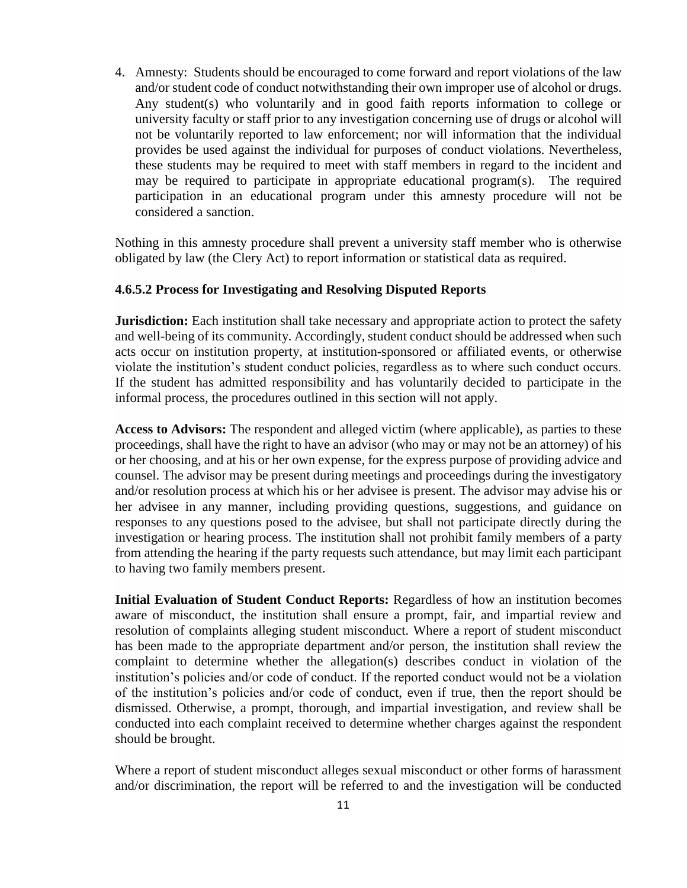4. Amnesty: Students should be encouraged to come forward and report violations of the law and/or student code of conduct notwithstanding their own improper use of alcohol or drugs. Any student(s) who voluntarily and in good faith reports information to college or university faculty or staff prior to any investigation concerning use of drugs or alcohol will not be voluntarily reported to law enforcement; nor will information that the individual provides be used against the individual for purposes of conduct violations. Nevertheless, these students may be required to meet with staff members in regard to the incident and may be required to participate in appropriate educational program(s). The required participation in an educational program under this amnesty procedure will not be considered a sanction.

Nothing in this amnesty procedure shall prevent a university staff member who is otherwise obligated by law (the Clery Act) to report information or statistical data as required.

#### **4.6.5.2 Process for Investigating and Resolving Disputed Reports**

**Jurisdiction:** Each institution shall take necessary and appropriate action to protect the safety and well-being of its community. Accordingly, student conduct should be addressed when such acts occur on institution property, at institution-sponsored or affiliated events, or otherwise violate the institution's student conduct policies, regardless as to where such conduct occurs. If the student has admitted responsibility and has voluntarily decided to participate in the informal process, the procedures outlined in this section will not apply.

**Access to Advisors:** The respondent and alleged victim (where applicable), as parties to these proceedings, shall have the right to have an advisor (who may or may not be an attorney) of his or her choosing, and at his or her own expense, for the express purpose of providing advice and counsel. The advisor may be present during meetings and proceedings during the investigatory and/or resolution process at which his or her advisee is present. The advisor may advise his or her advisee in any manner, including providing questions, suggestions, and guidance on responses to any questions posed to the advisee, but shall not participate directly during the investigation or hearing process. The institution shall not prohibit family members of a party from attending the hearing if the party requests such attendance, but may limit each participant to having two family members present.

**Initial Evaluation of Student Conduct Reports:** Regardless of how an institution becomes aware of misconduct, the institution shall ensure a prompt, fair, and impartial review and resolution of complaints alleging student misconduct. Where a report of student misconduct has been made to the appropriate department and/or person, the institution shall review the complaint to determine whether the allegation(s) describes conduct in violation of the institution's policies and/or code of conduct. If the reported conduct would not be a violation of the institution's policies and/or code of conduct, even if true, then the report should be dismissed. Otherwise, a prompt, thorough, and impartial investigation, and review shall be conducted into each complaint received to determine whether charges against the respondent should be brought.

Where a report of student misconduct alleges sexual misconduct or other forms of harassment and/or discrimination, the report will be referred to and the investigation will be conducted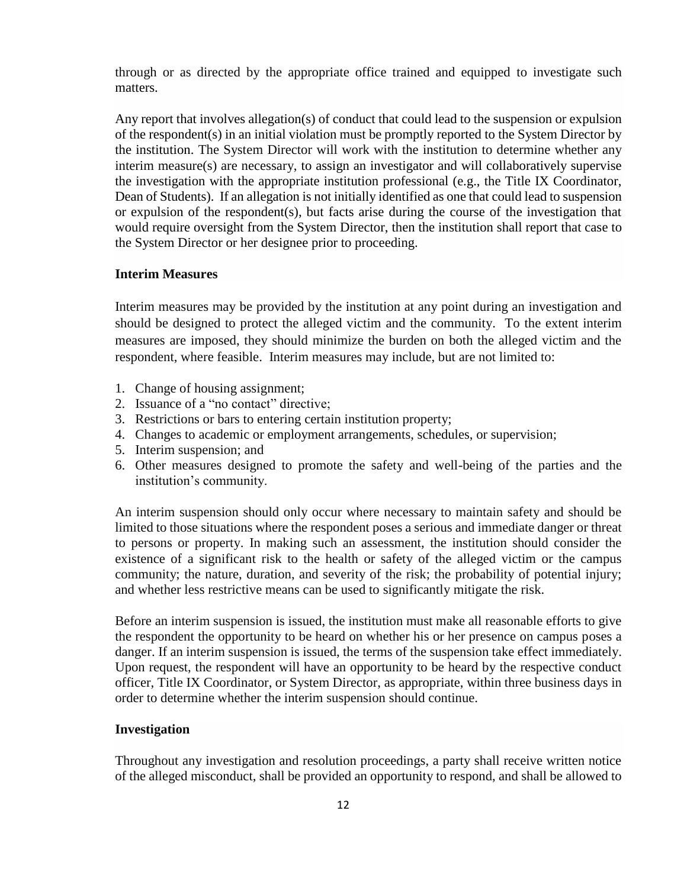through or as directed by the appropriate office trained and equipped to investigate such matters.

Any report that involves allegation(s) of conduct that could lead to the suspension or expulsion of the respondent(s) in an initial violation must be promptly reported to the System Director by the institution. The System Director will work with the institution to determine whether any interim measure(s) are necessary, to assign an investigator and will collaboratively supervise the investigation with the appropriate institution professional (e.g., the Title IX Coordinator, Dean of Students). If an allegation is not initially identified as one that could lead to suspension or expulsion of the respondent(s), but facts arise during the course of the investigation that would require oversight from the System Director, then the institution shall report that case to the System Director or her designee prior to proceeding.

#### **Interim Measures**

Interim measures may be provided by the institution at any point during an investigation and should be designed to protect the alleged victim and the community. To the extent interim measures are imposed, they should minimize the burden on both the alleged victim and the respondent, where feasible.Interim measures may include, but are not limited to:

- 1. Change of housing assignment;
- 2. Issuance of a "no contact" directive;
- 3. Restrictions or bars to entering certain institution property;
- 4. Changes to academic or employment arrangements, schedules, or supervision;
- 5. Interim suspension; and
- 6. Other measures designed to promote the safety and well-being of the parties and the institution's community.

An interim suspension should only occur where necessary to maintain safety and should be limited to those situations where the respondent poses a serious and immediate danger or threat to persons or property. In making such an assessment, the institution should consider the existence of a significant risk to the health or safety of the alleged victim or the campus community; the nature, duration, and severity of the risk; the probability of potential injury; and whether less restrictive means can be used to significantly mitigate the risk.

Before an interim suspension is issued, the institution must make all reasonable efforts to give the respondent the opportunity to be heard on whether his or her presence on campus poses a danger. If an interim suspension is issued, the terms of the suspension take effect immediately. Upon request, the respondent will have an opportunity to be heard by the respective conduct officer, Title IX Coordinator, or System Director, as appropriate, within three business days in order to determine whether the interim suspension should continue.

#### **Investigation**

Throughout any investigation and resolution proceedings, a party shall receive written notice of the alleged misconduct, shall be provided an opportunity to respond, and shall be allowed to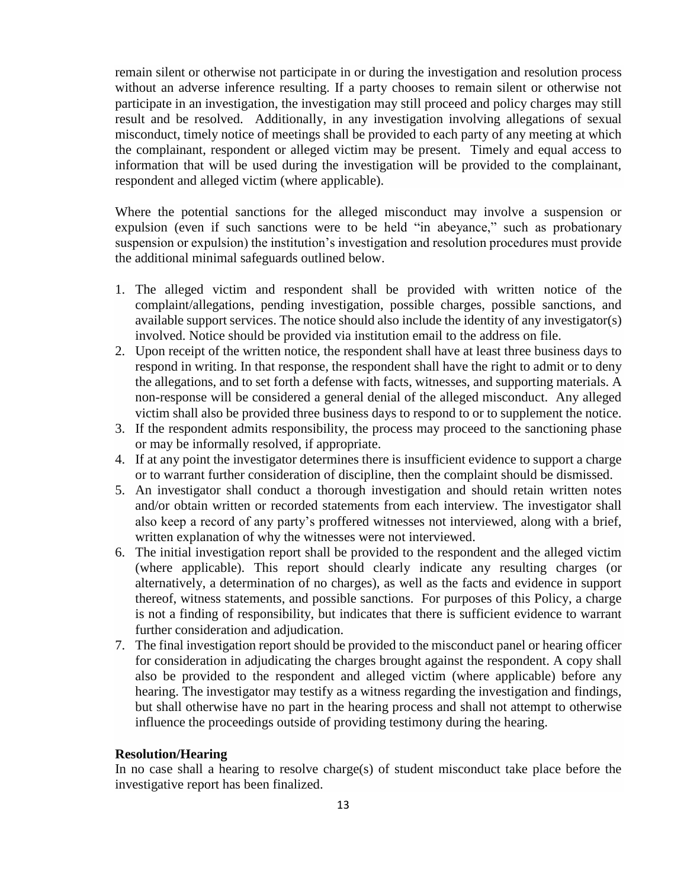remain silent or otherwise not participate in or during the investigation and resolution process without an adverse inference resulting. If a party chooses to remain silent or otherwise not participate in an investigation, the investigation may still proceed and policy charges may still result and be resolved. Additionally, in any investigation involving allegations of sexual misconduct, timely notice of meetings shall be provided to each party of any meeting at which the complainant, respondent or alleged victim may be present. Timely and equal access to information that will be used during the investigation will be provided to the complainant, respondent and alleged victim (where applicable).

Where the potential sanctions for the alleged misconduct may involve a suspension or expulsion (even if such sanctions were to be held "in abeyance," such as probationary suspension or expulsion) the institution's investigation and resolution procedures must provide the additional minimal safeguards outlined below.

- 1. The alleged victim and respondent shall be provided with written notice of the complaint/allegations, pending investigation, possible charges, possible sanctions, and available support services. The notice should also include the identity of any investigator(s) involved. Notice should be provided via institution email to the address on file.
- 2. Upon receipt of the written notice, the respondent shall have at least three business days to respond in writing. In that response, the respondent shall have the right to admit or to deny the allegations, and to set forth a defense with facts, witnesses, and supporting materials. A non-response will be considered a general denial of the alleged misconduct. Any alleged victim shall also be provided three business days to respond to or to supplement the notice.
- 3. If the respondent admits responsibility, the process may proceed to the sanctioning phase or may be informally resolved, if appropriate.
- 4. If at any point the investigator determines there is insufficient evidence to support a charge or to warrant further consideration of discipline, then the complaint should be dismissed.
- 5. An investigator shall conduct a thorough investigation and should retain written notes and/or obtain written or recorded statements from each interview. The investigator shall also keep a record of any party's proffered witnesses not interviewed, along with a brief, written explanation of why the witnesses were not interviewed.
- 6. The initial investigation report shall be provided to the respondent and the alleged victim (where applicable). This report should clearly indicate any resulting charges (or alternatively, a determination of no charges), as well as the facts and evidence in support thereof, witness statements, and possible sanctions. For purposes of this Policy, a charge is not a finding of responsibility, but indicates that there is sufficient evidence to warrant further consideration and adjudication.
- 7. The final investigation report should be provided to the misconduct panel or hearing officer for consideration in adjudicating the charges brought against the respondent. A copy shall also be provided to the respondent and alleged victim (where applicable) before any hearing. The investigator may testify as a witness regarding the investigation and findings, but shall otherwise have no part in the hearing process and shall not attempt to otherwise influence the proceedings outside of providing testimony during the hearing.

#### **Resolution/Hearing**

In no case shall a hearing to resolve charge(s) of student misconduct take place before the investigative report has been finalized.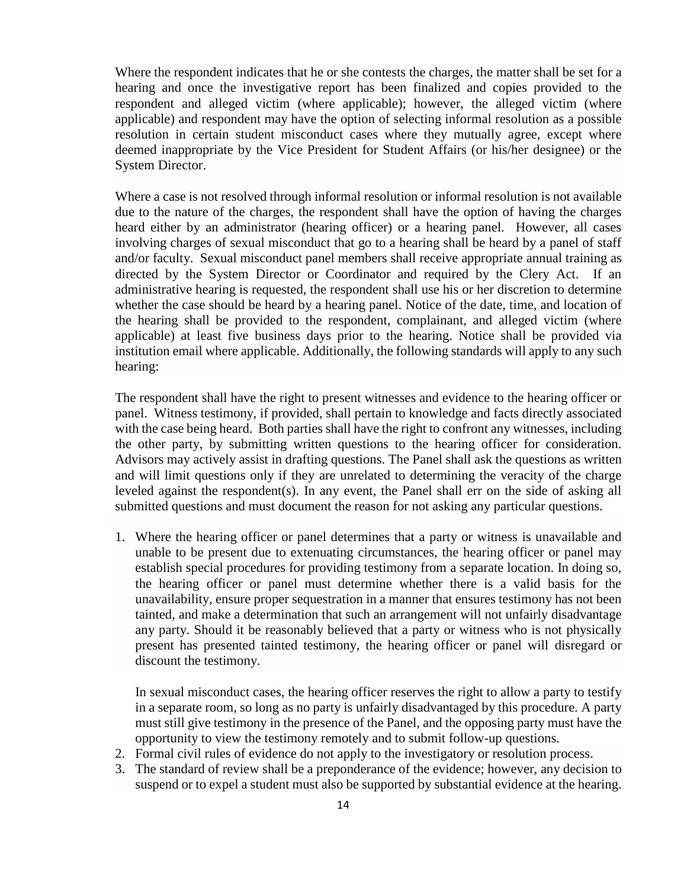Where the respondent indicates that he or she contests the charges, the matter shall be set for a hearing and once the investigative report has been finalized and copies provided to the respondent and alleged victim (where applicable); however, the alleged victim (where applicable) and respondent may have the option of selecting informal resolution as a possible resolution in certain student misconduct cases where they mutually agree, except where deemed inappropriate by the Vice President for Student Affairs (or his/her designee) or the System Director.

Where a case is not resolved through informal resolution or informal resolution is not available due to the nature of the charges, the respondent shall have the option of having the charges heard either by an administrator (hearing officer) or a hearing panel. However, all cases involving charges of sexual misconduct that go to a hearing shall be heard by a panel of staff and/or faculty. Sexual misconduct panel members shall receive appropriate annual training as directed by the System Director or Coordinator and required by the Clery Act. If an administrative hearing is requested, the respondent shall use his or her discretion to determine whether the case should be heard by a hearing panel. Notice of the date, time, and location of the hearing shall be provided to the respondent, complainant, and alleged victim (where applicable) at least five business days prior to the hearing. Notice shall be provided via institution email where applicable. Additionally, the following standards will apply to any such hearing:

The respondent shall have the right to present witnesses and evidence to the hearing officer or panel. Witness testimony, if provided, shall pertain to knowledge and facts directly associated with the case being heard. Both parties shall have the right to confront any witnesses, including the other party, by submitting written questions to the hearing officer for consideration. Advisors may actively assist in drafting questions. The Panel shall ask the questions as written and will limit questions only if they are unrelated to determining the veracity of the charge leveled against the respondent(s). In any event, the Panel shall err on the side of asking all submitted questions and must document the reason for not asking any particular questions.

1. Where the hearing officer or panel determines that a party or witness is unavailable and unable to be present due to extenuating circumstances, the hearing officer or panel may establish special procedures for providing testimony from a separate location. In doing so, the hearing officer or panel must determine whether there is a valid basis for the unavailability, ensure proper sequestration in a manner that ensures testimony has not been tainted, and make a determination that such an arrangement will not unfairly disadvantage any party. Should it be reasonably believed that a party or witness who is not physically present has presented tainted testimony, the hearing officer or panel will disregard or discount the testimony.

In sexual misconduct cases, the hearing officer reserves the right to allow a party to testify in a separate room, so long as no party is unfairly disadvantaged by this procedure. A party must still give testimony in the presence of the Panel, and the opposing party must have the opportunity to view the testimony remotely and to submit follow-up questions.

- 2. Formal civil rules of evidence do not apply to the investigatory or resolution process.
- 3. The standard of review shall be a preponderance of the evidence; however, any decision to suspend or to expel a student must also be supported by substantial evidence at the hearing.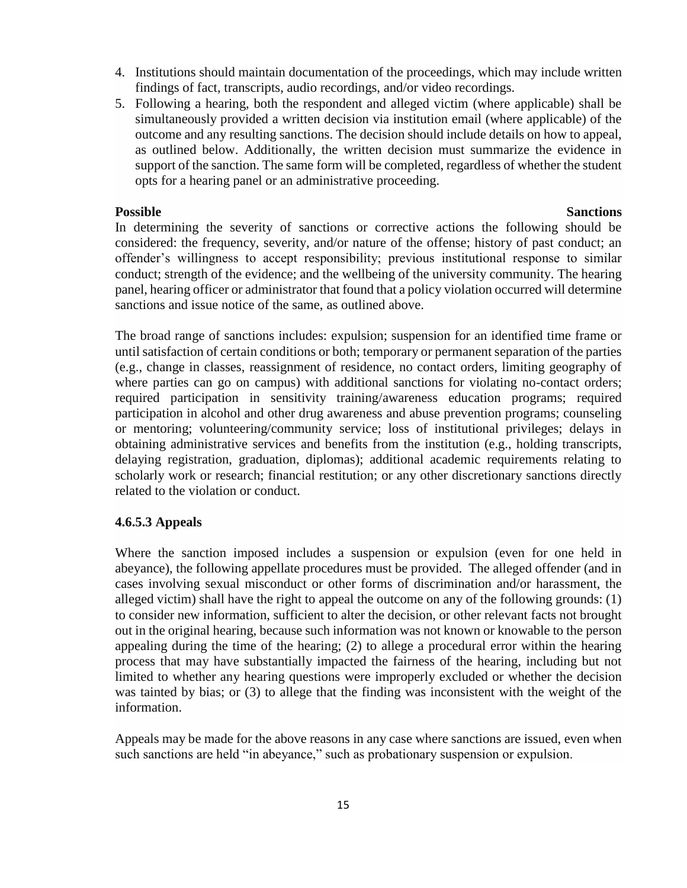- 4. Institutions should maintain documentation of the proceedings, which may include written findings of fact, transcripts, audio recordings, and/or video recordings.
- 5. Following a hearing, both the respondent and alleged victim (where applicable) shall be simultaneously provided a written decision via institution email (where applicable) of the outcome and any resulting sanctions. The decision should include details on how to appeal, as outlined below. Additionally, the written decision must summarize the evidence in support of the sanction. The same form will be completed, regardless of whether the student opts for a hearing panel or an administrative proceeding.

#### **Possible Sanctions**

In determining the severity of sanctions or corrective actions the following should be considered: the frequency, severity, and/or nature of the offense; history of past conduct; an offender's willingness to accept responsibility; previous institutional response to similar conduct; strength of the evidence; and the wellbeing of the university community. The hearing panel, hearing officer or administrator that found that a policy violation occurred will determine sanctions and issue notice of the same, as outlined above.

The broad range of sanctions includes: expulsion; suspension for an identified time frame or until satisfaction of certain conditions or both; temporary or permanent separation of the parties (e.g., change in classes, reassignment of residence, no contact orders, limiting geography of where parties can go on campus) with additional sanctions for violating no-contact orders; required participation in sensitivity training/awareness education programs; required participation in alcohol and other drug awareness and abuse prevention programs; counseling or mentoring; volunteering/community service; loss of institutional privileges; delays in obtaining administrative services and benefits from the institution (e.g., holding transcripts, delaying registration, graduation, diplomas); additional academic requirements relating to scholarly work or research; financial restitution; or any other discretionary sanctions directly related to the violation or conduct.

#### **4.6.5.3 Appeals**

Where the sanction imposed includes a suspension or expulsion (even for one held in abeyance), the following appellate procedures must be provided. The alleged offender (and in cases involving sexual misconduct or other forms of discrimination and/or harassment, the alleged victim) shall have the right to appeal the outcome on any of the following grounds: (1) to consider new information, sufficient to alter the decision, or other relevant facts not brought out in the original hearing, because such information was not known or knowable to the person appealing during the time of the hearing; (2) to allege a procedural error within the hearing process that may have substantially impacted the fairness of the hearing, including but not limited to whether any hearing questions were improperly excluded or whether the decision was tainted by bias; or (3) to allege that the finding was inconsistent with the weight of the information.

Appeals may be made for the above reasons in any case where sanctions are issued, even when such sanctions are held "in abeyance," such as probationary suspension or expulsion.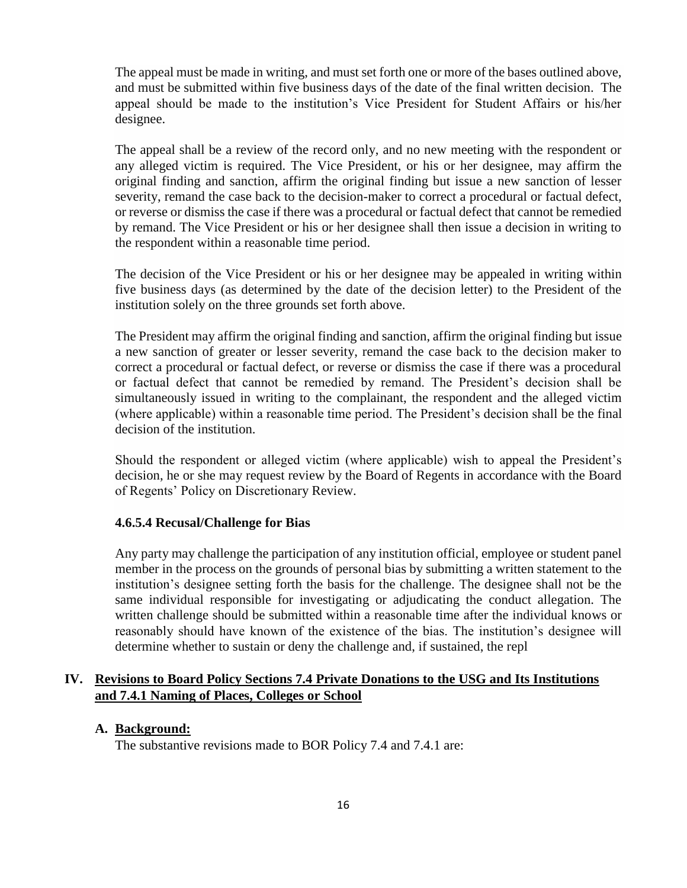The appeal must be made in writing, and must set forth one or more of the bases outlined above, and must be submitted within five business days of the date of the final written decision. The appeal should be made to the institution's Vice President for Student Affairs or his/her designee.

The appeal shall be a review of the record only, and no new meeting with the respondent or any alleged victim is required. The Vice President, or his or her designee, may affirm the original finding and sanction, affirm the original finding but issue a new sanction of lesser severity, remand the case back to the decision-maker to correct a procedural or factual defect, or reverse or dismiss the case if there was a procedural or factual defect that cannot be remedied by remand. The Vice President or his or her designee shall then issue a decision in writing to the respondent within a reasonable time period.

The decision of the Vice President or his or her designee may be appealed in writing within five business days (as determined by the date of the decision letter) to the President of the institution solely on the three grounds set forth above.

The President may affirm the original finding and sanction, affirm the original finding but issue a new sanction of greater or lesser severity, remand the case back to the decision maker to correct a procedural or factual defect, or reverse or dismiss the case if there was a procedural or factual defect that cannot be remedied by remand. The President's decision shall be simultaneously issued in writing to the complainant, the respondent and the alleged victim (where applicable) within a reasonable time period. The President's decision shall be the final decision of the institution.

Should the respondent or alleged victim (where applicable) wish to appeal the President's decision, he or she may request review by the Board of Regents in accordance with the Board of Regents' Policy on Discretionary Review.

#### **4.6.5.4 Recusal/Challenge for Bias**

Any party may challenge the participation of any institution official, employee or student panel member in the process on the grounds of personal bias by submitting a written statement to the institution's designee setting forth the basis for the challenge. The designee shall not be the same individual responsible for investigating or adjudicating the conduct allegation. The written challenge should be submitted within a reasonable time after the individual knows or reasonably should have known of the existence of the bias. The institution's designee will determine whether to sustain or deny the challenge and, if sustained, the repl

# **IV. Revisions to Board Policy Sections 7.4 Private Donations to the USG and Its Institutions and 7.4.1 Naming of Places, Colleges or School**

### **A. Background:**

The substantive revisions made to BOR Policy 7.4 and 7.4.1 are: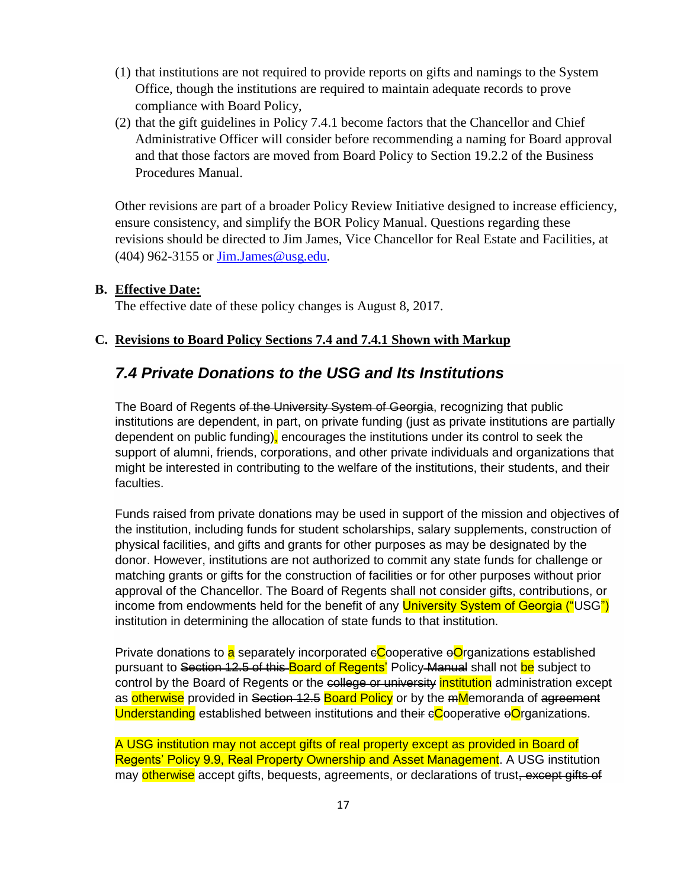- (1) that institutions are not required to provide reports on gifts and namings to the System Office, though the institutions are required to maintain adequate records to prove compliance with Board Policy,
- (2) that the gift guidelines in Policy 7.4.1 become factors that the Chancellor and Chief Administrative Officer will consider before recommending a naming for Board approval and that those factors are moved from Board Policy to Section 19.2.2 of the Business Procedures Manual.

Other revisions are part of a broader Policy Review Initiative designed to increase efficiency, ensure consistency, and simplify the BOR Policy Manual. Questions regarding these revisions should be directed to Jim James, Vice Chancellor for Real Estate and Facilities, at (404) 962-3155 or Jim.James@usg.edu.

### **B. Effective Date:**

The effective date of these policy changes is August 8, 2017.

#### **C. Revisions to Board Policy Sections 7.4 and 7.4.1 Shown with Markup**

# *7.4 Private Donations to the USG and Its Institutions*

The Board of Regents of the University System of Georgia, recognizing that public institutions are dependent, in part, on private funding (just as private institutions are partially dependent on public funding), encourages the institutions under its control to seek the support of alumni, friends, corporations, and other private individuals and organizations that might be interested in contributing to the welfare of the institutions, their students, and their faculties.

Funds raised from private donations may be used in support of the mission and objectives of the institution, including funds for student scholarships, salary supplements, construction of physical facilities, and gifts and grants for other purposes as may be designated by the donor. However, institutions are not authorized to commit any state funds for challenge or matching grants or gifts for the construction of facilities or for other purposes without prior approval of the Chancellor. The Board of Regents shall not consider gifts, contributions, or income from endowments held for the benefit of any **University System of Georgia ("USG")** institution in determining the allocation of state funds to that institution.

Private donations to  $\overline{a}$  separately incorporated  $\epsilon$ Cooperative  $\epsilon$ Organizations established pursuant to Section 12.5 of this Board of Regents' Policy Manual shall not be subject to control by the Board of Regents or the college or university institution administration except as otherwise provided in Section 12.5 Board Policy or by the mMemoranda of agreement Understanding established between institutions and their  $e^C$ coperative  $e^C$  ganizations.

A USG institution may not accept gifts of real property except as provided in Board of Regents' Policy 9.9, Real Property Ownership and Asset Management. A USG institution may otherwise accept gifts, bequests, agreements, or declarations of trust, except gifts of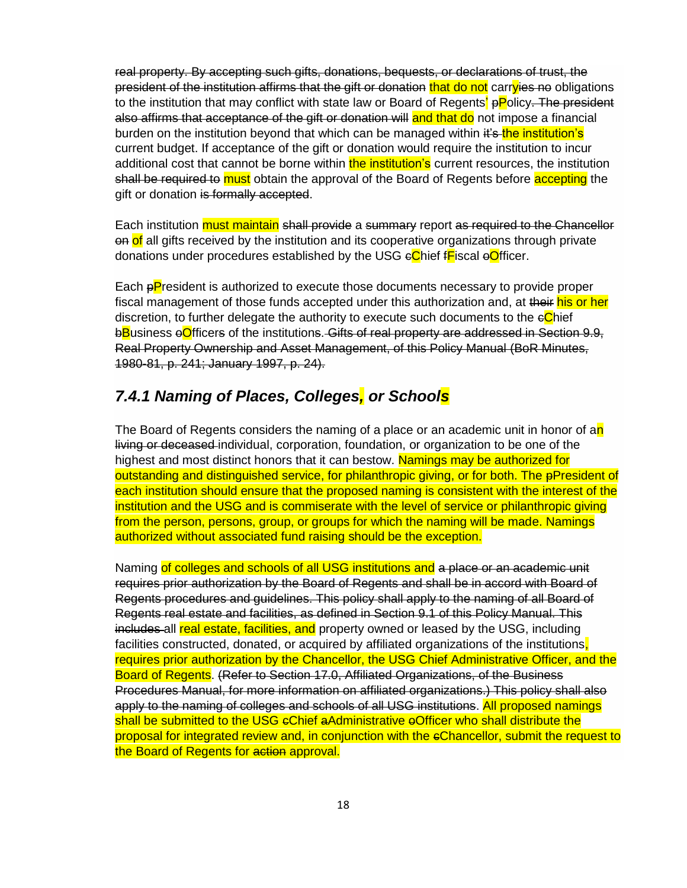real property. By accepting such gifts, donations, bequests, or declarations of trust, the president of the institution affirms that the gift or donation that do not carryies no obligations to the institution that may conflict with state law or Board of Regents' pPolicy. The president also affirms that acceptance of the gift or donation will and that do not impose a financial burden on the institution beyond that which can be managed within it's the institution's current budget. If acceptance of the gift or donation would require the institution to incur additional cost that cannot be borne within the institution's current resources, the institution shall be required to must obtain the approval of the Board of Regents before accepting the gift or donation is formally accepted.

Each institution **must maintain** shall provide a summary report as required to the Chancellor on of all gifts received by the institution and its cooperative organizations through private donations under procedures established by the USG eChief fFiscal eOfficer.

Each pPresident is authorized to execute those documents necessary to provide proper fiscal management of those funds accepted under this authorization and, at their his or her discretion, to further delegate the authority to execute such documents to the  $e$ Chief bBusiness oOfficers of the institutions. Gifts of real property are addressed in Section 9.9, Real Property Ownership and Asset Management, of this Policy Manual (BoR Minutes, 1980-81, p. 241; January 1997, p. 24).

# *7.4.1 Naming of Places, Colleges, or Schools*

The Board of Regents considers the naming of a place or an academic unit in honor of an living or deceased-individual, corporation, foundation, or organization to be one of the highest and most distinct honors that it can bestow. Namings may be authorized for outstanding and distinguished service, for philanthropic giving, or for both. The pPresident of each institution should ensure that the proposed naming is consistent with the interest of the institution and the USG and is commiserate with the level of service or philanthropic giving from the person, persons, group, or groups for which the naming will be made. Namings authorized without associated fund raising should be the exception.

Naming of colleges and schools of all USG institutions and a place or an academic unit requires prior authorization by the Board of Regents and shall be in accord with Board of Regents procedures and guidelines. This policy shall apply to the naming of all Board of Regents real estate and facilities, as defined in Section 9.1 of this Policy Manual. This includes all real estate, facilities, and property owned or leased by the USG, including facilities constructed, donated, or acquired by affiliated organizations of the institutions. requires prior authorization by the Chancellor, the USG Chief Administrative Officer, and the Board of Regents. (Refer to Section 17.0, Affiliated Organizations, of the Business Procedures Manual, for more information on affiliated organizations.) This policy shall also apply to the naming of colleges and schools of all USG institutions. All proposed namings shall be submitted to the USG eChief aAdministrative eOfficer who shall distribute the proposal for integrated review and, in conjunction with the cChancellor, submit the request to the Board of Regents for action approval.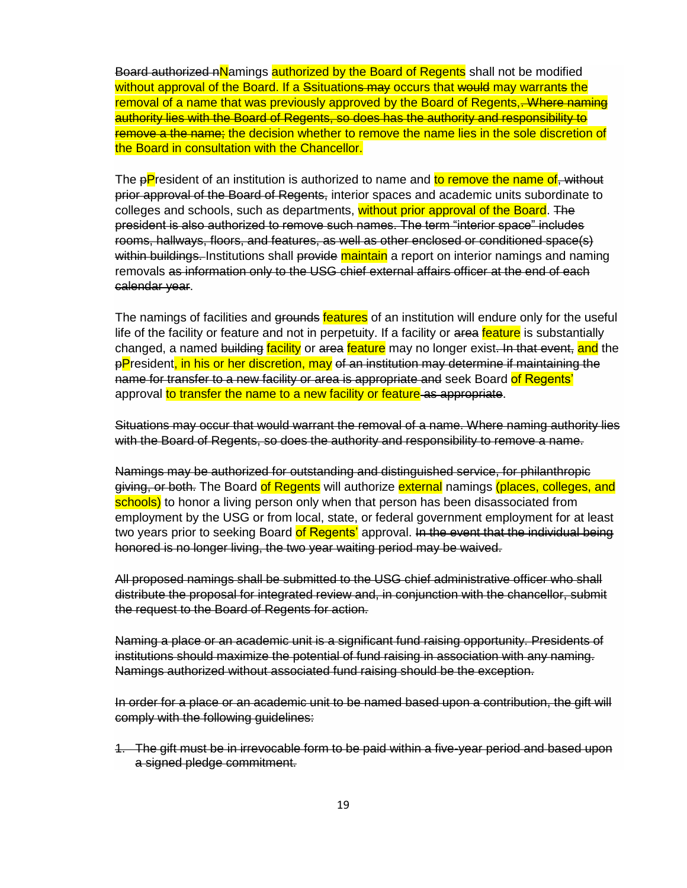Board authorized nNamings authorized by the Board of Regents shall not be modified without approval of the Board. If a Ssituations may occurs that would may warrants the removal of a name that was previously approved by the Board of Regents, Where naming authority lies with the Board of Regents, so does has the authority and responsibility to remove a the name; the decision whether to remove the name lies in the sole discretion of the Board in consultation with the Chancellor.

The pPresident of an institution is authorized to name and to remove the name of, without prior approval of the Board of Regents, interior spaces and academic units subordinate to colleges and schools, such as departments, without prior approval of the Board. The president is also authorized to remove such names. The term "interior space" includes rooms, hallways, floors, and features, as well as other enclosed or conditioned space(s) within buildings. Institutions shall provide maintain a report on interior namings and naming removals as information only to the USG chief external affairs officer at the end of each calendar year.

The namings of facilities and grounds features of an institution will endure only for the useful life of the facility or feature and not in perpetuity. If a facility or area feature is substantially changed, a named building facility or area feature may no longer exist. In that event, and the pPresident, in his or her discretion, may of an institution may determine if maintaining the name for transfer to a new facility or area is appropriate and seek Board of Regents' approval to transfer the name to a new facility or feature as appropriate.

Situations may occur that would warrant the removal of a name. Where naming authority lies with the Board of Regents, so does the authority and responsibility to remove a name.

Namings may be authorized for outstanding and distinguished service, for philanthropic giving, or both. The Board of Regents will authorize external namings (places, colleges, and schools) to honor a living person only when that person has been disassociated from employment by the USG or from local, state, or federal government employment for at least two years prior to seeking Board of Regents' approval. In the event that the individual being honored is no longer living, the two year waiting period may be waived.

All proposed namings shall be submitted to the USG chief administrative officer who shall distribute the proposal for integrated review and, in conjunction with the chancellor, submit the request to the Board of Regents for action.

Naming a place or an academic unit is a significant fund raising opportunity. Presidents of institutions should maximize the potential of fund raising in association with any naming. Namings authorized without associated fund raising should be the exception.

In order for a place or an academic unit to be named based upon a contribution, the gift will comply with the following guidelines:

1. The gift must be in irrevocable form to be paid within a five-year period and based upon a signed pledge commitment.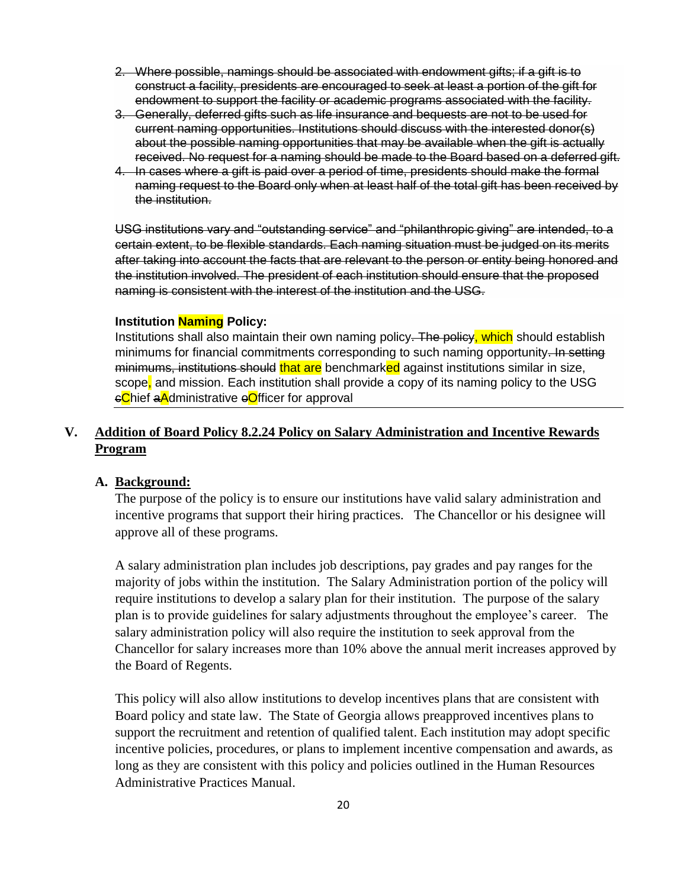- 2. Where possible, namings should be associated with endowment gifts; if a gift is to construct a facility, presidents are encouraged to seek at least a portion of the gift for endowment to support the facility or academic programs associated with the facility.
- 3. Generally, deferred gifts such as life insurance and bequests are not to be used for current naming opportunities. Institutions should discuss with the interested donor(s) about the possible naming opportunities that may be available when the gift is actually received. No request for a naming should be made to the Board based on a deferred gift.
- 4. In cases where a gift is paid over a period of time, presidents should make the formal naming request to the Board only when at least half of the total gift has been received by the institution.

USG institutions vary and "outstanding service" and "philanthropic giving" are intended, to a certain extent, to be flexible standards. Each naming situation must be judged on its merits after taking into account the facts that are relevant to the person or entity being honored and the institution involved. The president of each institution should ensure that the proposed naming is consistent with the interest of the institution and the USG.

#### **Institution Naming Policy:**

Institutions shall also maintain their own naming policy. The policy, which should establish minimums for financial commitments corresponding to such naming opportunity. In setting minimums, institutions should that are benchmarked against institutions similar in size, scope, and mission. Each institution shall provide a copy of its naming policy to the USG eChief aAdministrative eOfficer for approval

# **V. Addition of Board Policy 8.2.24 Policy on Salary Administration and Incentive Rewards Program**

#### **A. Background:**

The purpose of the policy is to ensure our institutions have valid salary administration and incentive programs that support their hiring practices. The Chancellor or his designee will approve all of these programs.

A salary administration plan includes job descriptions, pay grades and pay ranges for the majority of jobs within the institution. The Salary Administration portion of the policy will require institutions to develop a salary plan for their institution. The purpose of the salary plan is to provide guidelines for salary adjustments throughout the employee's career. The salary administration policy will also require the institution to seek approval from the Chancellor for salary increases more than 10% above the annual merit increases approved by the Board of Regents.

This policy will also allow institutions to develop incentives plans that are consistent with Board policy and state law. The State of Georgia allows preapproved incentives plans to support the recruitment and retention of qualified talent. Each institution may adopt specific incentive policies, procedures, or plans to implement incentive compensation and awards, as long as they are consistent with this policy and policies outlined in the Human Resources Administrative Practices Manual.